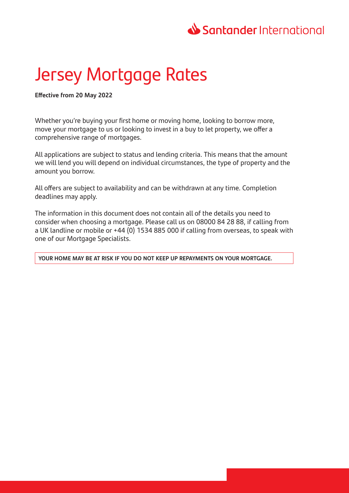# Santander International

# Jersey Mortgage Rates

**Effective from 20 May 2022**

Whether you're buying your first home or moving home, looking to borrow more, move your mortgage to us or looking to invest in a buy to let property, we offer a comprehensive range of mortgages.

All applications are subject to status and lending criteria. This means that the amount we will lend you will depend on individual circumstances, the type of property and the amount you borrow.

All offers are subject to availability and can be withdrawn at any time. Completion deadlines may apply.

The information in this document does not contain all of the details you need to consider when choosing a mortgage. Please call us on 08000 84 28 88, if calling from a UK landline or mobile or +44 (0) 1534 885 000 if calling from overseas, to speak with one of our Mortgage Specialists.

**YOUR HOME MAY BE AT RISK IF YOU DO NOT KEEP UP REPAYMENTS ON YOUR MORTGAGE.**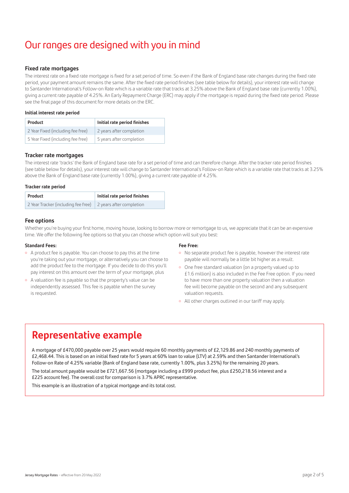# Our ranges are designed with you in mind

#### **Fixed rate mortgages**

The interest rate on a fixed rate mortgage is fixed for a set period of time. So even if the Bank of England base rate changes during the fixed rate period, your payment amount remains the same. After the fixed rate period finishes (see table below for details), your interest rate will change to Santander International's Follow-on Rate which is a variable rate that tracks at 3.25% above the Bank of England base rate (currently 1.00%), giving a current rate payable of 4.25%. An Early Repayment Charge (ERC) may apply if the mortgage is repaid during the fixed rate period. Please see the final page of this document for more details on the ERC.

#### **Initial interest rate period**

| <b>Product</b>                    | Initial rate period finishes |
|-----------------------------------|------------------------------|
| 2 Year Fixed (including fee free) | 2 years after completion     |
| 5 Year Fixed (including fee free) | 5 years after completion     |

#### **Tracker rate mortgages**

The interest rate 'tracks' the Bank of England base rate for a set period of time and can therefore change. After the tracker rate period finishes (see table below for details), your interest rate will change to Santander International's Follow-on Rate which is a variable rate that tracks at 3.25% above the Bank of England base rate (currently 1.00%), giving a current rate payable of 4.25%.

#### **Tracker rate period**

| Product                                                              | Initial rate period finishes |
|----------------------------------------------------------------------|------------------------------|
| 2 Year Tracker (including fee free) $\vert$ 2 years after completion |                              |

### **Fee options**

Whether you're buying your first home, moving house, looking to borrow more or remortgage to us, we appreciate that it can be an expensive time. We offer the following fee options so that you can choose which option will suit you best:

#### **Standard Fees:**

- <sup>o</sup> A product fee is payable. You can choose to pay this at the time you're taking out your mortgage, or alternatively you can choose to add the product fee to the mortgage. If you decide to do this you'll pay interest on this amount over the term of your mortgage, plus
- <sup>o</sup> A valuation fee is payable so that the property's value can be independently assessed. This fee is payable when the survey is requested.

#### **Fee Free:**

- <sup>o</sup> No separate product fee is payable, however the interest rate payable will normally be a little bit higher as a result.
- One free standard valuation (on a property valued up to £1.6 million) is also included in the Fee Free option. If you need to have more than one property valuation then a valuation fee will become payable on the second and any subsequent valuation requests.
- All other charges outlined in our tariff may apply.

# **Representative example**

A mortgage of £470,000 payable over 25 years would require 60 monthly payments of £2,129.86 and 240 monthly payments of £2,468.44. This is based on an initial fixed rate for 5 years at 60% loan to value (LTV) at 2.59% and then Santander International's Follow‑on Rate of 4.25% variable (Bank of England base rate, currently 1.00%, plus 3.25%) for the remaining 20 years. The total amount payable would be £721,667.56 (mortgage including a £999 product fee, plus £250,218.56 interest and a £225 account fee). The overall cost for comparison is 3.7% APRC representative.

This example is an illustration of a typical mortgage and its total cost.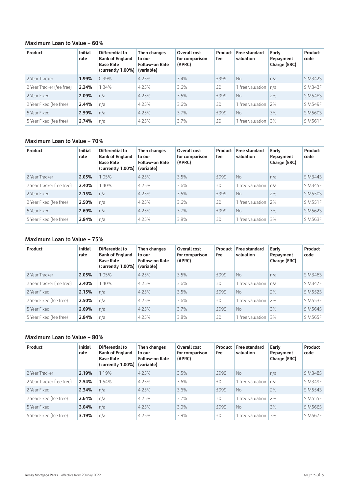## **Maximum Loan to Value – 60%**

| Product                   | <b>Initial</b><br>rate | Differential to<br><b>Bank of England</b><br><b>Base Rate</b><br>(currently 1.00%) | Then changes<br>to our<br><b>Follow-on Rate</b><br>(variable) | Overall cost<br>for comparison<br>(APRC) | Product<br>fee | <b>Free standard</b><br>valuation | Early<br>Repayment<br>Charge (ERC) | Product<br>code |
|---------------------------|------------------------|------------------------------------------------------------------------------------|---------------------------------------------------------------|------------------------------------------|----------------|-----------------------------------|------------------------------------|-----------------|
| 2 Year Tracker            | 1.99%                  | 0.99%                                                                              | 4.25%                                                         | 3.4%                                     | £999           | No.                               | n/a                                | <b>SIM342S</b>  |
| 2 Year Tracker (fee free) | 2.34%                  | 1.34%                                                                              | 4.25%                                                         | 3.6%                                     | £0             | 1 free valuation                  | n/a                                | SIM343F         |
| 2 Year Fixed              | 2.09%                  | n/a                                                                                | 4.25%                                                         | 3.5%                                     | £999           | No.                               | 2%                                 | <b>SIM548S</b>  |
| 2 Year Fixed (fee free)   | 2.44%                  | n/a                                                                                | 4.25%                                                         | 3.6%                                     | £0             | 1 free valuation                  | 2%                                 | SIM549F         |
| 5 Year Fixed              | 2.59%                  | n/a                                                                                | 4.25%                                                         | 3.7%                                     | £999           | No.                               | 3%                                 | <b>SIM560S</b>  |
| 5 Year Fixed (fee free)   | 2.74%                  | n/a                                                                                | 4.25%                                                         | 3.7%                                     | £0             | 1 free valuation                  | 3%                                 | SIM561F         |

# **Maximum Loan to Value – 70%**

| Product                   | <b>Initial</b><br>rate | Differential to<br><b>Bank of England</b><br><b>Base Rate</b><br>(currently $1.00\%$ ) | Then changes<br>to our<br><b>Follow-on Rate</b><br>(variable) | Overall cost<br>for comparison<br>(APRC) | Product<br>fee | <b>Free standard</b><br>valuation | Early<br>Repayment<br>Charge (ERC) | Product<br>code |
|---------------------------|------------------------|----------------------------------------------------------------------------------------|---------------------------------------------------------------|------------------------------------------|----------------|-----------------------------------|------------------------------------|-----------------|
| 2 Year Tracker            | 2.05%                  | .05%                                                                                   | 4.25%                                                         | 3.5%                                     | £999           | <b>No</b>                         | n/a                                | SIM344S         |
| 2 Year Tracker (fee free) | 2.40%                  | 1.40%                                                                                  | 4.25%                                                         | 3.6%                                     | £0             | 1 free valuation                  | n/a                                | SIM345F         |
| 2 Year Fixed              | 2.15%                  | n/a                                                                                    | 4.25%                                                         | 3.5%                                     | £999           | <b>No</b>                         | 2%                                 | <b>SIM550S</b>  |
| 2 Year Fixed (fee free)   | 2.50%                  | n/a                                                                                    | 4.25%                                                         | 3.6%                                     | £0             | 1 free valuation                  | 2%                                 | SIM551F         |
| 5 Year Fixed              | 2.69%                  | n/a                                                                                    | 4.25%                                                         | 3.7%                                     | £999           | <b>No</b>                         | 3%                                 | <b>SIM562S</b>  |
| 5 Year Fixed (fee free)   | 2.84%                  | n/a                                                                                    | 4.25%                                                         | 3.8%                                     | £0             | 1 free valuation                  | 3%                                 | SIM563F         |

## **Maximum Loan to Value – 75%**

| Product                   | <b>Initial</b><br>rate | Differential to<br><b>Bank of England</b><br><b>Base Rate</b><br>(currently $1.00\%$ ) | Then changes<br>to our<br><b>Follow-on Rate</b><br>(variable) | Overall cost<br>for comparison<br>(APRC) | Product<br>fee | Free standard<br>valuation | Early<br>Repayment<br>Charge (ERC) | Product<br>code |
|---------------------------|------------------------|----------------------------------------------------------------------------------------|---------------------------------------------------------------|------------------------------------------|----------------|----------------------------|------------------------------------|-----------------|
| 2 Year Tracker            | 2.05%                  | 1.05%                                                                                  | 4.25%                                                         | 3.5%                                     | £999           | No.                        | n/a                                | <b>SIM346S</b>  |
| 2 Year Tracker (fee free) | 2.40%                  | 1.40%                                                                                  | 4.25%                                                         | 3.6%                                     | £0             | 1 free valuation           | n/a                                | SIM347F         |
| 2 Year Fixed              | 2.15%                  | n/a                                                                                    | 4.25%                                                         | 3.5%                                     | £999           | No                         | 2%                                 | <b>SIM552S</b>  |
| 2 Year Fixed (fee free)   | 2.50%                  | n/a                                                                                    | 4.25%                                                         | 3.6%                                     | £0             | 1 free valuation           | 2%                                 | SIM553F         |
| 5 Year Fixed              | 2.69%                  | n/a                                                                                    | 4.25%                                                         | 3.7%                                     | £999           | No.                        | 3%                                 | <b>SIM564S</b>  |
| 5 Year Fixed (fee free)   | 2.84%                  | n/a                                                                                    | 4.25%                                                         | 3.8%                                     | £0             | 1 free valuation           | 3%                                 | SIM565F         |

## **Maximum Loan to Value – 80%**

| Product                   | <b>Initial</b><br>rate | <b>Differential to</b><br><b>Bank of England</b><br><b>Base Rate</b><br>(currently 1.00%) | Then changes<br>to our<br><b>Follow-on Rate</b><br>(variable) | Overall cost<br>for comparison<br>(APRC) | Product<br>fee | Free standard<br>valuation | Early<br>Repayment<br>Charge (ERC) | Product<br>code |
|---------------------------|------------------------|-------------------------------------------------------------------------------------------|---------------------------------------------------------------|------------------------------------------|----------------|----------------------------|------------------------------------|-----------------|
| 2 Year Tracker            | 2.19%                  | 1.19%                                                                                     | 4.25%                                                         | 3.5%                                     | £999           | No.                        | n/a                                | <b>SIM348S</b>  |
| 2 Year Tracker (fee free) | 2.54%                  | 1.54%                                                                                     | 4.25%                                                         | 3.6%                                     | £0             | 1 free valuation           | n/a                                | SIM349F         |
| 2 Year Fixed              | 2.34%                  | n/a                                                                                       | 4.25%                                                         | 3.6%                                     | £999           | N <sub>0</sub>             | 2%                                 | <b>SIM554S</b>  |
| 2 Year Fixed (fee free)   | 2.64%                  | n/a                                                                                       | 4.25%                                                         | 3.7%                                     | £0             | 1 free valuation           | 2%                                 | <b>SIM555F</b>  |
| 5 Year Fixed              | 3.04%                  | n/a                                                                                       | 4.25%                                                         | 3.9%                                     | £999           | No.                        | 3%                                 | <b>SIM566S</b>  |
| 5 Year Fixed (fee free)   | 3.19%                  | n/a                                                                                       | 4.25%                                                         | 3.9%                                     | £0             | 1 free valuation           | 3%                                 | <b>SIM567F</b>  |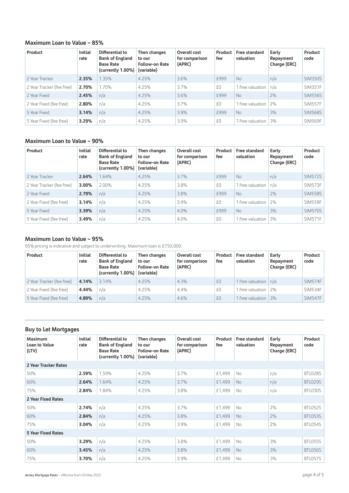# **Maximum Loan to Value – 85%**

| Product                   | <b>Initial</b><br>rate | Differential to<br><b>Bank of England</b><br><b>Base Rate</b><br>(currently 1.00%) | Then changes<br>to our<br><b>Follow-on Rate</b><br>(variable) | Overall cost<br>for comparison<br>(APRC) | Product<br>fee | <b>Free standard</b><br>valuation | Early<br>Repayment<br>Charge (ERC) | Product<br>code |
|---------------------------|------------------------|------------------------------------------------------------------------------------|---------------------------------------------------------------|------------------------------------------|----------------|-----------------------------------|------------------------------------|-----------------|
| 2 Year Tracker            | 2.35%                  | 1.35%                                                                              | 4.25%                                                         | 3.6%                                     | £999           | No.                               | n/a                                | <b>SIM350S</b>  |
| 2 Year Tracker (fee free) | 2.70%                  | 1.70%                                                                              | 4.25%                                                         | 3.7%                                     | £0             | 1 free valuation                  | n/a                                | SIM351F         |
| 2 Year Fixed              | 2.45%                  | n/a                                                                                | 4.25%                                                         | 3.6%                                     | £999           | N <sub>o</sub>                    | 2%                                 | <b>SIM556S</b>  |
| 2 Year Fixed (fee free)   | 2.80%                  | n/a                                                                                | 4.25%                                                         | 3.7%                                     | £0             | 1 free valuation                  | 2%                                 | <b>SIM557F</b>  |
| 5 Year Fixed              | 3.14%                  | n/a                                                                                | 4.25%                                                         | 3.9%                                     | <b>£999</b>    | N <sub>o</sub>                    | 3%                                 | <b>SIM568S</b>  |
| 5 Year Fixed (fee free)   | 3.29%                  | n/a                                                                                | 4.25%                                                         | 3.9%                                     | £0             | 1 free valuation                  | 3%                                 | SIM569F         |

# **Maximum Loan to Value – 90%**

| Product                   | <b>Initial</b><br>rate | Differential to<br><b>Bank of England</b><br><b>Base Rate</b><br>(currently $1.00\%$ ) | Then changes<br>to our<br><b>Follow-on Rate</b><br>(variable) | Overall cost<br>for comparison<br>(APRC) | Product<br>fee | Free standard<br>valuation | Early<br>Repayment<br>Charge (ERC) | Product<br>code |
|---------------------------|------------------------|----------------------------------------------------------------------------------------|---------------------------------------------------------------|------------------------------------------|----------------|----------------------------|------------------------------------|-----------------|
| 2 Year Tracker            | 2.64%                  | 1.64%                                                                                  | 4.25%                                                         | 3.7%                                     | £999           | No.                        | n/a                                | <b>SIM572S</b>  |
| 2 Year Tracker (fee free) | 3.00%                  | 2.00%                                                                                  | 4.25%                                                         | 3.8%                                     | £0             | 1 free valuation           | l n/a                              | <b>SIM573F</b>  |
| 2 Year Fixed              | 2.79%                  | n/a                                                                                    | 4.25%                                                         | 3.8%                                     | £999           | No.                        | 2%                                 | <b>SIM558S</b>  |
| 2 Year Fixed (fee free)   | 3.14%                  | n/a                                                                                    | 4.25%                                                         | 3.9%                                     | £0             | 1 free valuation           | 2%                                 | SIM559F         |
| 5 Year Fixed              | 3.39%                  | n/a                                                                                    | 4.25%                                                         | 4.0%                                     | £999           | No.                        | 3%                                 | <b>SIM570S</b>  |
| 5 Year Fixed (fee free)   | 3.49%                  | n/a                                                                                    | 4.25%                                                         | 4.0%                                     | £0             | 1 free valuation           | 3%                                 | SIM571F         |

### **Maximum Loan to Value – 95%**

95% pricing is indicative and subject to underwriting. Maximum loan is £750,000.

| Product                   | <b>Initial</b><br>rate | Differential to<br><b>Bank of England</b><br><b>Base Rate</b><br>(currently $1.00\%$ ) | Then changes<br>to our<br><b>Follow-on Rate</b><br>(variable) | Overall cost<br>for comparison<br>(APRC) | Product<br>fee | Free standard<br>valuation | Early<br>Repayment<br>Charge (ERC) | Product<br>code |
|---------------------------|------------------------|----------------------------------------------------------------------------------------|---------------------------------------------------------------|------------------------------------------|----------------|----------------------------|------------------------------------|-----------------|
| 2 Year Tracker (fee free) | 4.14%                  | 3.14%                                                                                  | 4.25%                                                         | 4.3%                                     | £0             | 1 free valuation $n/a$     |                                    | <b>SIM574F</b>  |
| 2 Year Fixed (fee free)   | 4.44%                  | n/a                                                                                    | 4.25%                                                         | 4.4%                                     | £0             | 1 free valuation 2%        |                                    | SIM534F         |
| 5 Year Fixed (fee free)   | 4.89%                  | n/a                                                                                    | 4.25%                                                         | 4.6%                                     | £0             | 1 free valuation 3%        |                                    | <b>SIM547F</b>  |

### **Buy to Let Mortgages**

| <b>Maximum</b><br><b>Loan to Value</b><br>(LTV) | <b>Initial</b><br>rate | Differential to<br><b>Bank of England</b><br><b>Base Rate</b><br>(currently 1.00%) | Then changes<br>to our<br><b>Follow-on Rate</b><br>(variable) | Overall cost<br>for comparison<br>(APRC) | Product<br>fee | Free standard<br>valuation | Early<br>Repayment<br>Charge (ERC) | Product<br>code |
|-------------------------------------------------|------------------------|------------------------------------------------------------------------------------|---------------------------------------------------------------|------------------------------------------|----------------|----------------------------|------------------------------------|-----------------|
| 2 Year Tracker Rates                            |                        |                                                                                    |                                                               |                                          |                |                            |                                    |                 |
| 50%                                             | 2.59%                  | 1.59%                                                                              | 4.25%                                                         | 3.7%                                     | £1,499         | No.                        | n/a                                | BTL028S         |
| 60%                                             | 2.64%                  | 1.64%                                                                              | 4.25%                                                         | 3.7%                                     | £1,499         | No.                        | n/a                                | BTL029S         |
| 75%                                             | 2.84%                  | 1.84%                                                                              | 4.25%                                                         | 3.8%                                     | £1,499         | <b>No</b>                  | n/a                                | BTL030S         |
| 2 Year Fixed Rates                              |                        |                                                                                    |                                                               |                                          |                |                            |                                    |                 |
| 50%                                             | 2.74%                  | n/a                                                                                | 4.25%                                                         | 3.7%                                     | £1,499         | No                         | 2%                                 | BTL052S         |
| 60%                                             | 2.84%                  | n/a                                                                                | 4.25%                                                         | 3.8%                                     | £1,499         | No.                        | 2%                                 | BTL053S         |
| 75%                                             | 3.04%                  | n/a                                                                                | 4.25%                                                         | 3.9%                                     | £1,499         | No                         | 2%                                 | BTL054S         |
| <b>5 Year Fixed Rates</b>                       |                        |                                                                                    |                                                               |                                          |                |                            |                                    |                 |
| 50%                                             | 3.29%                  | n/a                                                                                | 4.25%                                                         | 3.8%                                     | £1,499         | <b>No</b>                  | 3%                                 | BTL055S         |
| 60%                                             | 3.45%                  | n/a                                                                                | 4.25%                                                         | 3.8%                                     | £1,499         | <b>No</b>                  | 3%                                 | BTL056S         |
| 75%                                             | 3.70%                  | n/a                                                                                | 4.25%                                                         | 3.9%                                     | £1,499         | <b>No</b>                  | 3%                                 | BTL057S         |